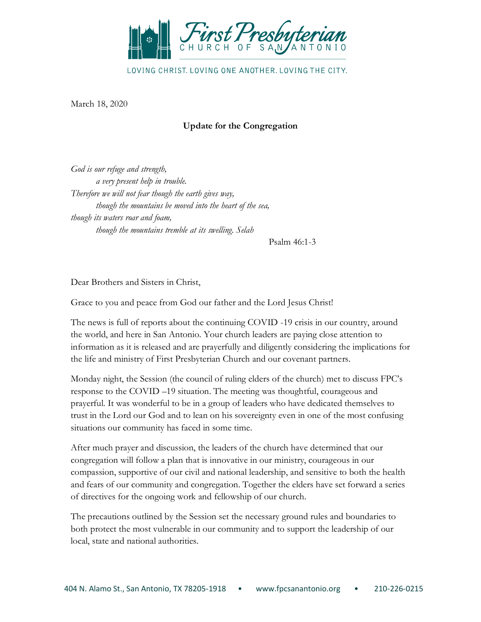

LOVING CHRIST, LOVING ONE ANOTHER, LOVING THE CITY.

March 18, 2020

# **Update for the Congregation**

*God is our refuge and strength, a very present help in trouble. Therefore we will not fear though the earth gives way, though the mountains be moved into the heart of the sea, though its waters roar and foam, though the mountains tremble at its swelling. Selah* 

Psalm 46:1-3

Dear Brothers and Sisters in Christ,

Grace to you and peace from God our father and the Lord Jesus Christ!

The news is full of reports about the continuing COVID -19 crisis in our country, around the world, and here in San Antonio. Your church leaders are paying close attention to information as it is released and are prayerfully and diligently considering the implications for the life and ministry of First Presbyterian Church and our covenant partners.

Monday night, the Session (the council of ruling elders of the church) met to discuss FPC's response to the COVID –19 situation. The meeting was thoughtful, courageous and prayerful. It was wonderful to be in a group of leaders who have dedicated themselves to trust in the Lord our God and to lean on his sovereignty even in one of the most confusing situations our community has faced in some time.

After much prayer and discussion, the leaders of the church have determined that our congregation will follow a plan that is innovative in our ministry, courageous in our compassion, supportive of our civil and national leadership, and sensitive to both the health and fears of our community and congregation. Together the elders have set forward a series of directives for the ongoing work and fellowship of our church.

The precautions outlined by the Session set the necessary ground rules and boundaries to both protect the most vulnerable in our community and to support the leadership of our local, state and national authorities.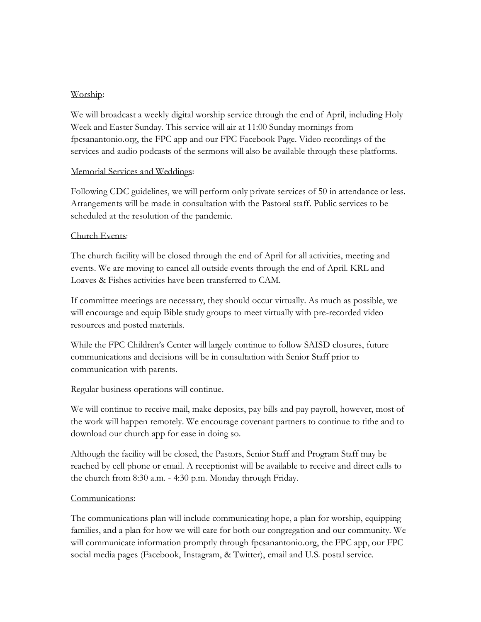### Worship:

We will broadcast a weekly digital worship service through the end of April, including Holy Week and Easter Sunday. This service will air at 11:00 Sunday mornings from fpcsanantonio.org, the FPC app and our FPC Facebook Page. Video recordings of the services and audio podcasts of the sermons will also be available through these platforms.

#### Memorial Services and Weddings:

Following CDC guidelines, we will perform only private services of 50 in attendance or less. Arrangements will be made in consultation with the Pastoral staff. Public services to be scheduled at the resolution of the pandemic.

#### Church Events:

The church facility will be closed through the end of April for all activities, meeting and events. We are moving to cancel all outside events through the end of April. KRL and Loaves & Fishes activities have been transferred to CAM.

If committee meetings are necessary, they should occur virtually. As much as possible, we will encourage and equip Bible study groups to meet virtually with pre-recorded video resources and posted materials.

While the FPC Children's Center will largely continue to follow SAISD closures, future communications and decisions will be in consultation with Senior Staff prior to communication with parents.

#### Regular business operations will continue.

We will continue to receive mail, make deposits, pay bills and pay payroll, however, most of the work will happen remotely. We encourage covenant partners to continue to tithe and to download our church app for ease in doing so.

Although the facility will be closed, the Pastors, Senior Staff and Program Staff may be reached by cell phone or email. A receptionist will be available to receive and direct calls to the church from 8:30 a.m. - 4:30 p.m. Monday through Friday.

#### Communications:

The communications plan will include communicating hope, a plan for worship, equipping families, and a plan for how we will care for both our congregation and our community. We will communicate information promptly through fpcsanantonio.org, the FPC app, our FPC social media pages (Facebook, Instagram, & Twitter), email and U.S. postal service.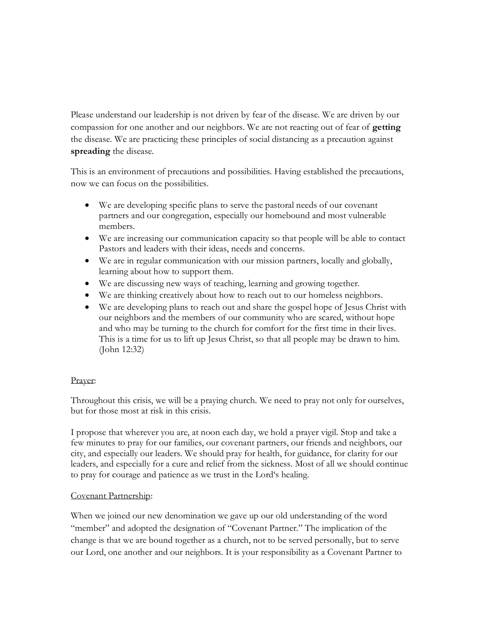Please understand our leadership is not driven by fear of the disease. We are driven by our compassion for one another and our neighbors. We are not reacting out of fear of **getting** the disease. We are practicing these principles of social distancing as a precaution against **spreading** the disease.

This is an environment of precautions and possibilities. Having established the precautions, now we can focus on the possibilities.

- We are developing specific plans to serve the pastoral needs of our covenant partners and our congregation, especially our homebound and most vulnerable members.
- We are increasing our communication capacity so that people will be able to contact Pastors and leaders with their ideas, needs and concerns.
- We are in regular communication with our mission partners, locally and globally, learning about how to support them.
- We are discussing new ways of teaching, learning and growing together.
- We are thinking creatively about how to reach out to our homeless neighbors.
- We are developing plans to reach out and share the gospel hope of Jesus Christ with our neighbors and the members of our community who are scared, without hope and who may be turning to the church for comfort for the first time in their lives. This is a time for us to lift up Jesus Christ, so that all people may be drawn to him. (John 12:32)

## Prayer:

Throughout this crisis, we will be a praying church. We need to pray not only for ourselves, but for those most at risk in this crisis.

I propose that wherever you are, at noon each day, we hold a prayer vigil. Stop and take a few minutes to pray for our families, our covenant partners, our friends and neighbors, our city, and especially our leaders. We should pray for health, for guidance, for clarity for our leaders, and especially for a cure and relief from the sickness. Most of all we should continue to pray for courage and patience as we trust in the Lord's healing.

## Covenant Partnership:

When we joined our new denomination we gave up our old understanding of the word "member" and adopted the designation of "Covenant Partner." The implication of the change is that we are bound together as a church, not to be served personally, but to serve our Lord, one another and our neighbors. It is your responsibility as a Covenant Partner to